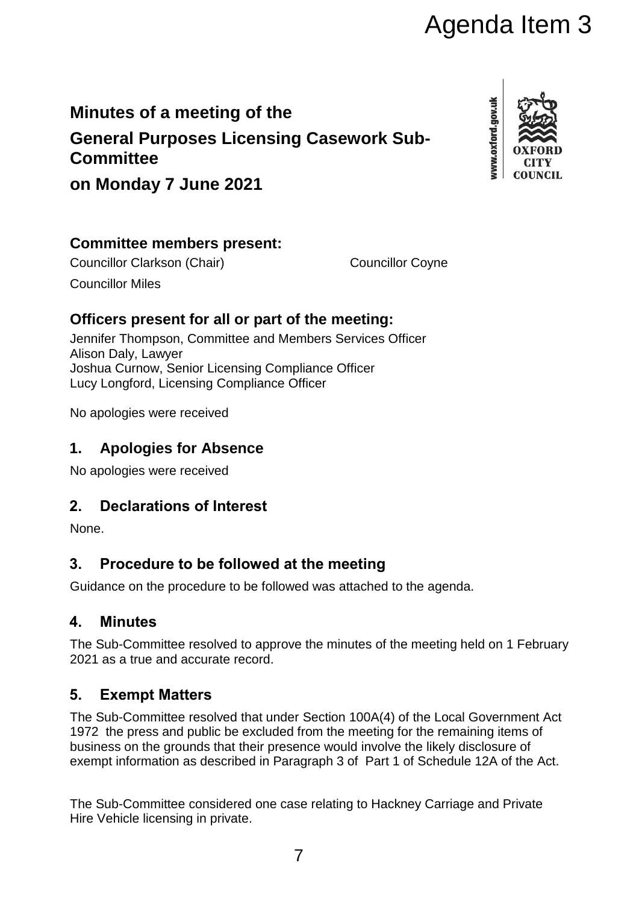# Agenda Item 3

# **Minutes of a meeting of the**

**General Purposes Licensing Casework Sub-Committee**



**on Monday 7 June 2021**

# **Committee members present:**

Councillor Clarkson (Chair) Councillor Coyne Councillor Miles

# **Officers present for all or part of the meeting:**

Jennifer Thompson, Committee and Members Services Officer Alison Daly, Lawyer Joshua Curnow, Senior Licensing Compliance Officer Lucy Longford, Licensing Compliance Officer

No apologies were received

# **1. Apologies for Absence**

No apologies were received

# **2. Declarations of Interest**

None.

# **3. Procedure to be followed at the meeting**

Guidance on the procedure to be followed was attached to the agenda.

#### **4. Minutes**

The Sub-Committee resolved to approve the minutes of the meeting held on 1 February 2021 as a true and accurate record.

#### **5. Exempt Matters**

The Sub-Committee resolved that under Section 100A(4) of the Local Government Act 1972 the press and public be excluded from the meeting for the remaining items of business on the grounds that their presence would involve the likely disclosure of exempt information as described in Paragraph 3 of Part 1 of Schedule 12A of the Act.

The Sub-Committee considered one case relating to Hackney Carriage and Private Hire Vehicle licensing in private.